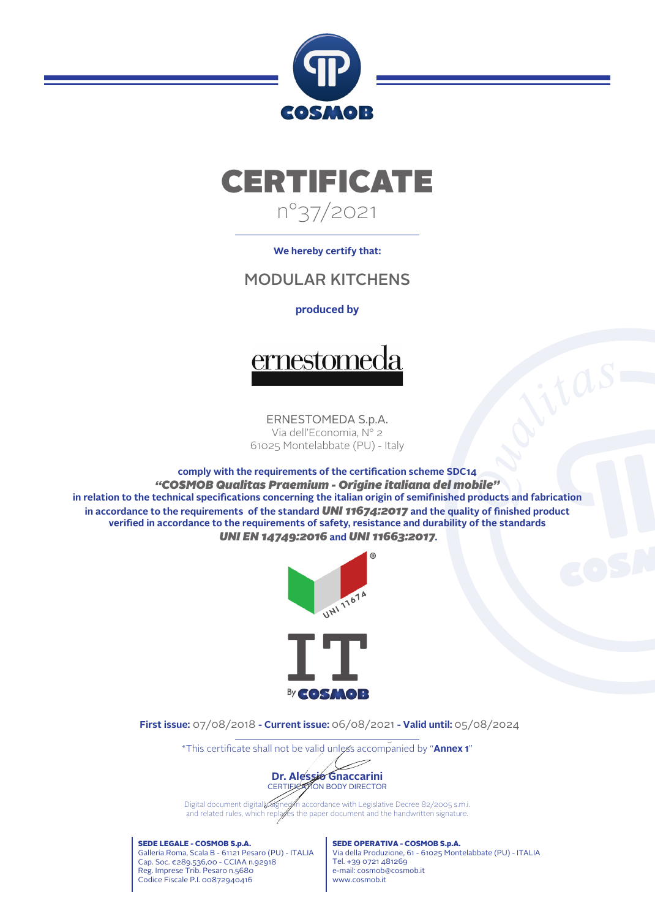



## **We hereby certify that:**

## MODULAR KITCHENS

## **produced by**



ERNESTOMEDA S.p.A. Via dell'Economia, N° 2 61025 Montelabbate (PU) - Italy

**comply with the requirements of the certication scheme SDC14** *"COSMOB Qualitas Praemium - Origine italiana del mobile"* in relation to the technical specifications concerning the italian origin of semifinished products and fabrication in accordance to the requirements of the standard *UNI 11674:2017* and the quality of finished product verified in accordance to the requirements of safety, resistance and durability of the standards *UNI EN 14749:2016* **and** *UNI 11663:2017***.**



**First issue:** 07/08/2018 **- Current issue:** 06/08/2021 **- Valid until:** 05/08/2024

\*This certicate shall not be valid unless accompanied by "**Annex 1**"



Digital document digitally signet in accordance with Legislative Decree 82/2005 s.m.i. and related rules, which replaces the paper document and the handwritten signature.

SEDE LEGALE - COSMOB S.p.A. Galleria Roma, Scala B - 61121 Pesaro (PU) - ITALIA Cap. Soc. €289.536,00 - CCIAA n.92918 Reg. Imprese Trib. Pesaro n.5680 Codice Fiscale P.I. 00872940416

SEDE OPERATIVA - COSMOB S.p.A. Via della Produzione, 61 - 61025 Montelabbate (PU) - ITALIA Tel. +39 0721 481269 e-mail: cosmob@cosmob.it www.cosmob.it